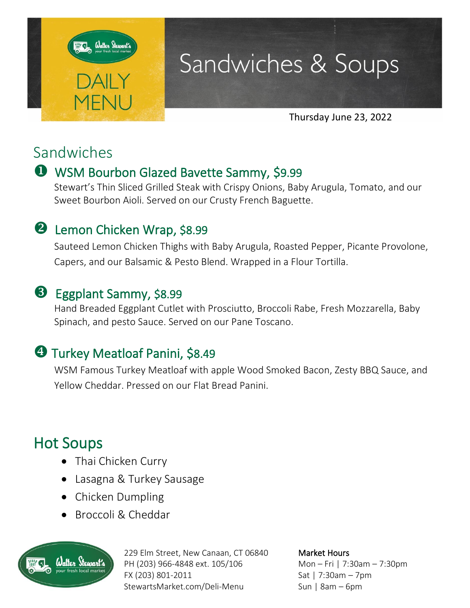

# Sandwiches & Soups

Thursday June 23, 2022

## Sandwiches

## WSM Bourbon Glazed Bavette Sammy, \$9.99

Stewart's Thin Sliced Grilled Steak with Crispy Onions, Baby Arugula, Tomato, and our Sweet Bourbon Aioli. Served on our Crusty French Baguette.

### **2** Lemon Chicken Wrap, \$8.99

Sauteed Lemon Chicken Thighs with Baby Arugula, Roasted Pepper, Picante Provolone, Capers, and our Balsamic & Pesto Blend. Wrapped in a Flour Tortilla.

### **B** Eggplant Sammy, \$8.99

Hand Breaded Eggplant Cutlet with Prosciutto, Broccoli Rabe, Fresh Mozzarella, Baby Spinach, and pesto Sauce. Served on our Pane Toscano.

## **4 Turkey Meatloaf Panini, \$8.49**

WSM Famous Turkey Meatloaf with apple Wood Smoked Bacon, Zesty BBQ Sauce, and Yellow Cheddar. Pressed on our Flat Bread Panini.

## Hot Soups

- Thai Chicken Curry
- Lasagna & Turkey Sausage
- Chicken Dumpling
- Broccoli & Cheddar



229 Elm Street, New Canaan, CT 06840 PH (203) 966-4848 ext. 105/106 FX (203) 801-2011 StewartsMarket.com/Deli-Menu

Market Hours Mon – Fri | 7:30am – 7:30pm Sat | 7:30am – 7pm Sun | 8am – 6pm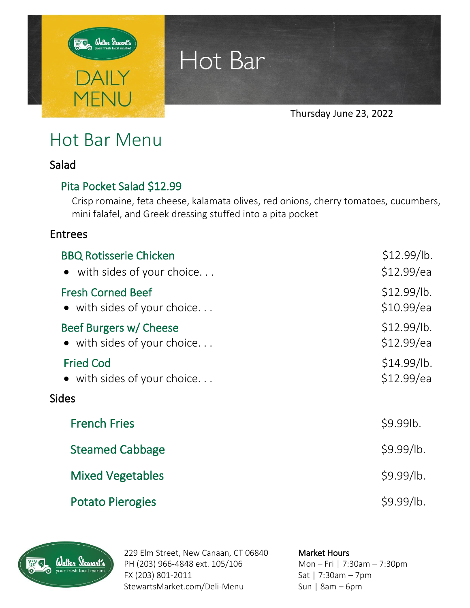

Hot Bar

Thursday June 23, 2022

# Hot Bar Menu

#### Salad

#### Pita Pocket Salad \$12.99

Crisp romaine, feta cheese, kalamata olives, red onions, cherry tomatoes, cucumbers, mini falafel, and Greek dressing stuffed into a pita pocket

#### Entrees

| <b>BBQ Rotisserie Chicken</b>       | \$12.99/lb. |
|-------------------------------------|-------------|
| • with sides of your choice         | \$12.99/ea  |
| <b>Fresh Corned Beef</b>            | \$12.99/lb. |
| • with sides of your choice         | \$10.99/ea  |
| Beef Burgers w/ Cheese              | \$12.99/lb. |
| $\bullet$ with sides of your choice | \$12.99/ea  |
| <b>Fried Cod</b>                    | \$14.99/lb. |
| $\bullet$ with sides of your choice | \$12.99/ea  |
| <b>Sides</b>                        |             |
| <b>French Fries</b>                 | \$9.99lb.   |
| <b>Steamed Cabbage</b>              | \$9.99/lb.  |
| <b>Mixed Vegetables</b>             | \$9.99/lb.  |
| <b>Potato Pierogies</b>             | \$9.99/lb.  |



229 Elm Street, New Canaan, CT 06840 PH (203) 966-4848 ext. 105/106 FX (203) 801-2011 StewartsMarket.com/Deli-Menu

#### Market Hours

Mon – Fri | 7:30am – 7:30pm Sat | 7:30am – 7pm Sun | 8am – 6pm